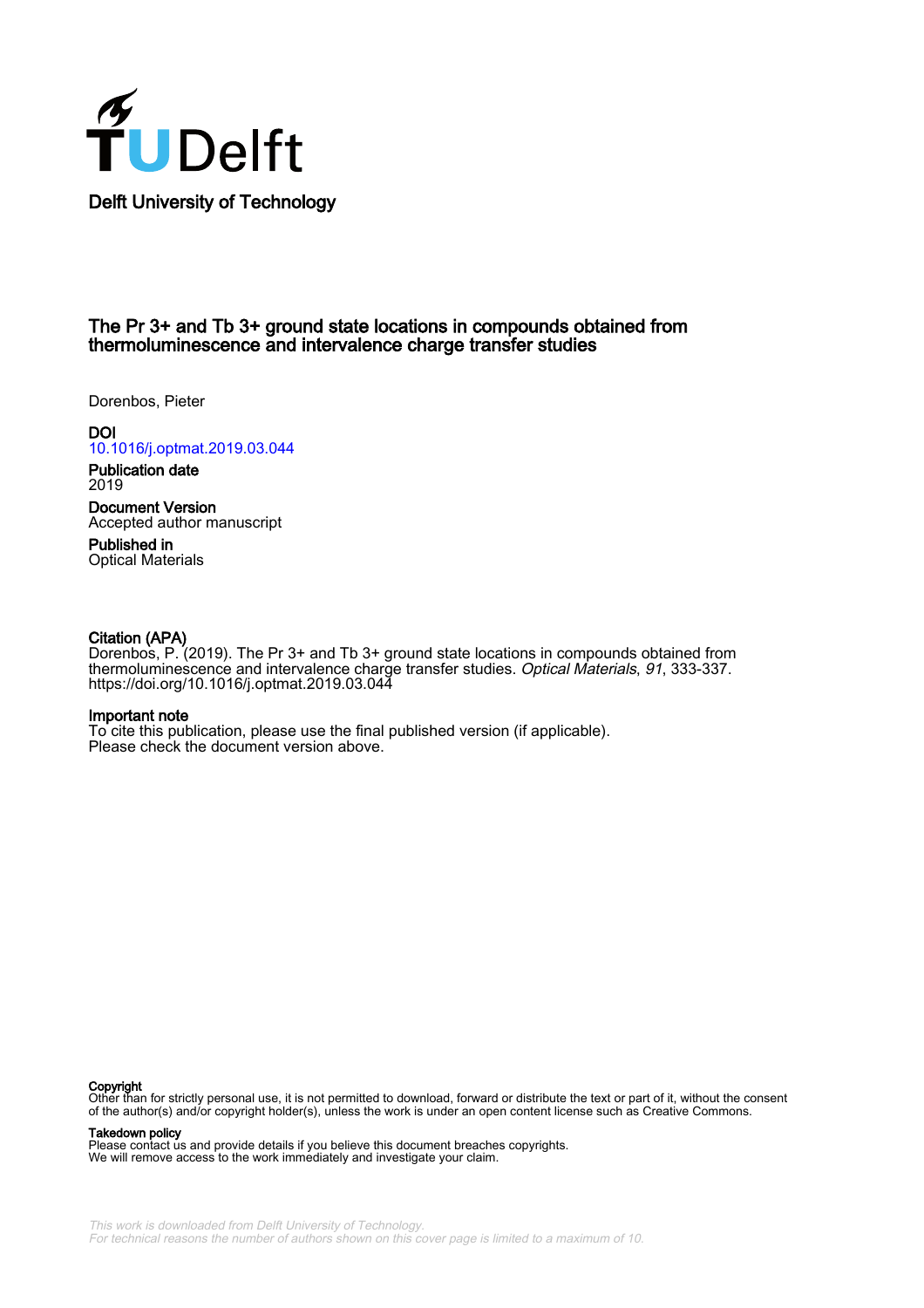

## The Pr 3+ and Tb 3+ ground state locations in compounds obtained from thermoluminescence and intervalence charge transfer studies

Dorenbos, Pieter

**DOI** [10.1016/j.optmat.2019.03.044](https://doi.org/10.1016/j.optmat.2019.03.044)

Publication date 2019

Document Version Accepted author manuscript

Published in Optical Materials

### Citation (APA)

Dorenbos, P. (2019). The Pr 3+ and Tb 3+ ground state locations in compounds obtained from thermoluminescence and intervalence charge transfer studies. Optical Materials, 91, 333-337. <https://doi.org/10.1016/j.optmat.2019.03.044>

#### Important note

To cite this publication, please use the final published version (if applicable). Please check the document version above.

#### Copyright

Other than for strictly personal use, it is not permitted to download, forward or distribute the text or part of it, without the consent of the author(s) and/or copyright holder(s), unless the work is under an open content license such as Creative Commons.

#### Takedown policy

Please contact us and provide details if you believe this document breaches copyrights. We will remove access to the work immediately and investigate your claim.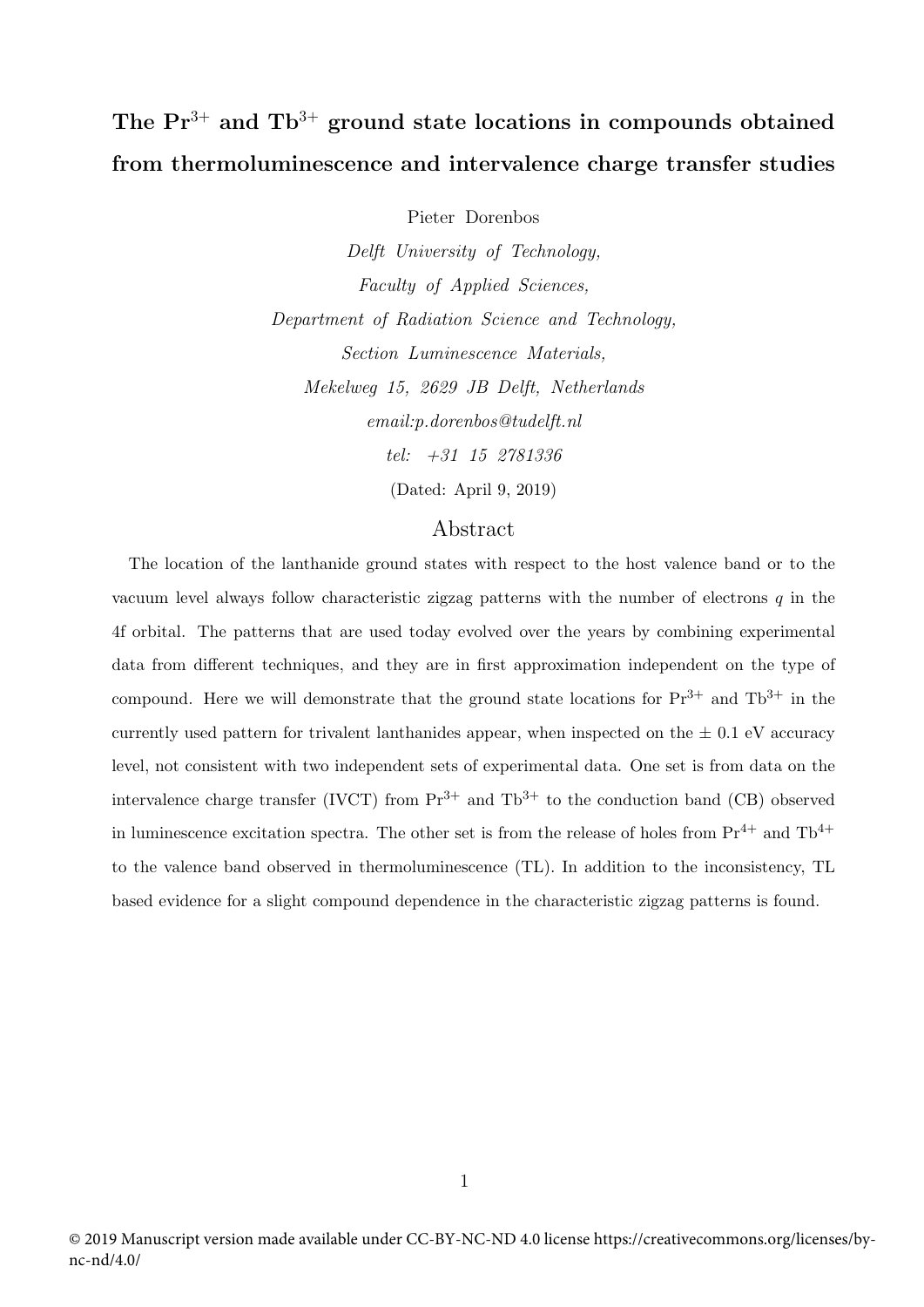# The  $Pr^{3+}$  and  $Th^{3+}$  ground state locations in compounds obtained from thermoluminescence and intervalence charge transfer studies

Pieter Dorenbos

Delft University of Technology, Faculty of Applied Sciences, Department of Radiation Science and Technology, Section Luminescence Materials, Mekelweg 15, 2629 JB Delft, Netherlands email:p.dorenbos@tudelft.nl tel: +31 15 2781336 (Dated: April 9, 2019)

## Abstract

The location of the lanthanide ground states with respect to the host valence band or to the vacuum level always follow characteristic zigzag patterns with the number of electrons  $q$  in the 4f orbital. The patterns that are used today evolved over the years by combining experimental data from different techniques, and they are in first approximation independent on the type of compound. Here we will demonstrate that the ground state locations for  $Pr^{3+}$  and  $Th^{3+}$  in the currently used pattern for trivalent lanthanides appear, when inspected on the  $\pm$  0.1 eV accuracy level, not consistent with two independent sets of experimental data. One set is from data on the intervalence charge transfer (IVCT) from  $Pr^{3+}$  and  $Th^{3+}$  to the conduction band (CB) observed in luminescence excitation spectra. The other set is from the release of holes from  $Pr^{4+}$  and  $Tb^{4+}$ to the valence band observed in thermoluminescence (TL). In addition to the inconsistency, TL based evidence for a slight compound dependence in the characteristic zigzag patterns is found.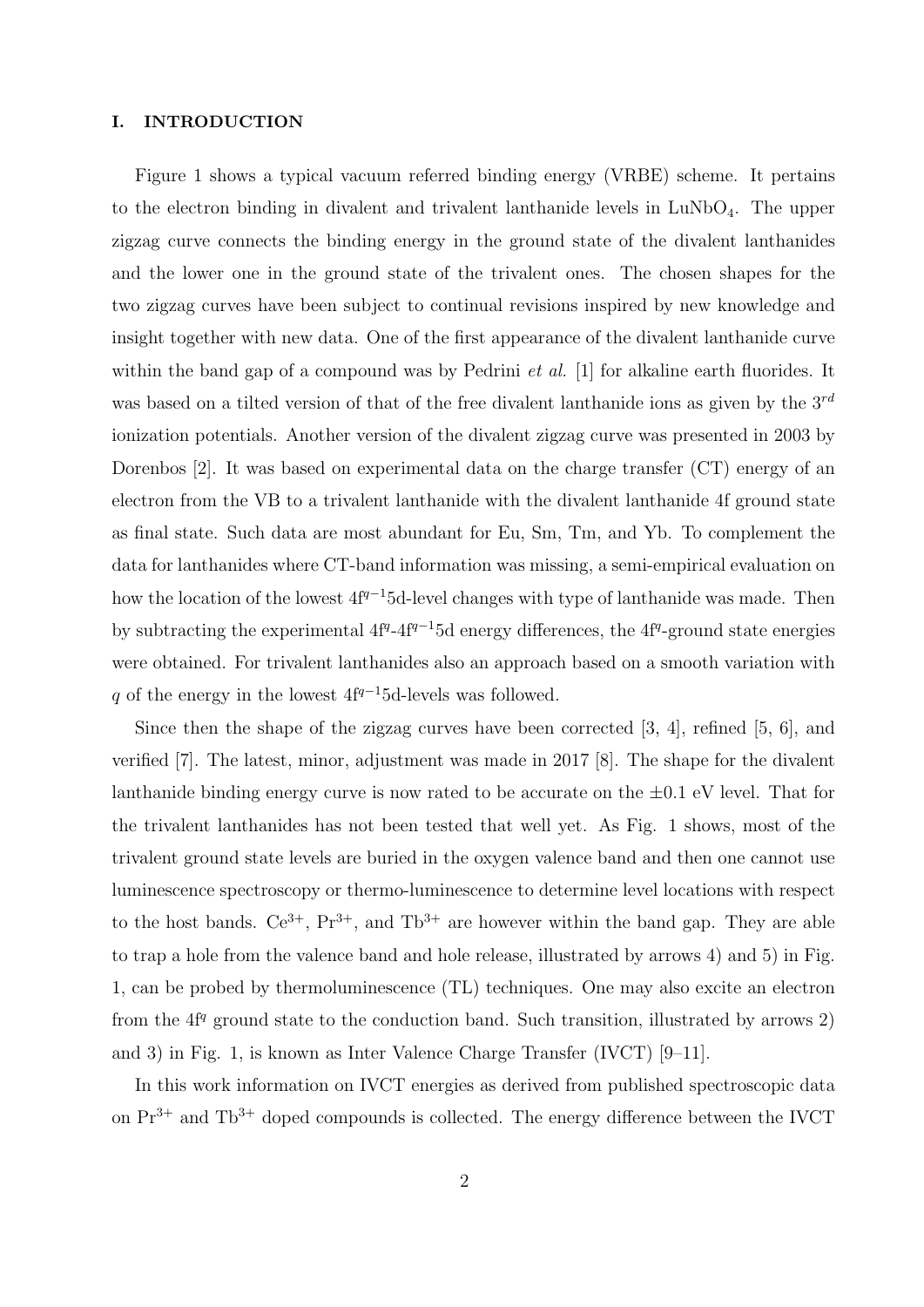#### I. INTRODUCTION

Figure 1 shows a typical vacuum referred binding energy (VRBE) scheme. It pertains to the electron binding in divalent and trivalent lanthanide levels in  $LuNbO<sub>4</sub>$ . The upper zigzag curve connects the binding energy in the ground state of the divalent lanthanides and the lower one in the ground state of the trivalent ones. The chosen shapes for the two zigzag curves have been subject to continual revisions inspired by new knowledge and insight together with new data. One of the first appearance of the divalent lanthanide curve within the band gap of a compound was by Pedrini *et al.* [1] for alkaline earth fluorides. It was based on a tilted version of that of the free divalent lanthanide ions as given by the  $3^{rd}$ ionization potentials. Another version of the divalent zigzag curve was presented in 2003 by Dorenbos [2]. It was based on experimental data on the charge transfer (CT) energy of an electron from the VB to a trivalent lanthanide with the divalent lanthanide 4f ground state as final state. Such data are most abundant for Eu, Sm, Tm, and Yb. To complement the data for lanthanides where CT-band information was missing, a semi-empirical evaluation on how the location of the lowest  $4f^{q-1}5d$ -level changes with type of lanthanide was made. Then by subtracting the experimental  $4f^{q-4}f^{q-1}5d$  energy differences, the  $4f^{q}$ -ground state energies were obtained. For trivalent lanthanides also an approach based on a smooth variation with q of the energy in the lowest  $4f^{q-1}5d$ -levels was followed.

Since then the shape of the zigzag curves have been corrected [3, 4], refined [5, 6], and verified [7]. The latest, minor, adjustment was made in 2017 [8]. The shape for the divalent lanthanide binding energy curve is now rated to be accurate on the  $\pm 0.1$  eV level. That for the trivalent lanthanides has not been tested that well yet. As Fig. 1 shows, most of the trivalent ground state levels are buried in the oxygen valence band and then one cannot use luminescence spectroscopy or thermo-luminescence to determine level locations with respect to the host bands.  $Ce^{3+}$ ,  $Pr^{3+}$ , and  $Tb^{3+}$  are however within the band gap. They are able to trap a hole from the valence band and hole release, illustrated by arrows 4) and 5) in Fig. 1, can be probed by thermoluminescence (TL) techniques. One may also excite an electron from the  $4f<sup>q</sup>$  ground state to the conduction band. Such transition, illustrated by arrows 2) and 3) in Fig. 1, is known as Inter Valence Charge Transfer (IVCT) [9–11].

In this work information on IVCT energies as derived from published spectroscopic data on  $Pr^{3+}$  and  $Th^{3+}$  doped compounds is collected. The energy difference between the IVCT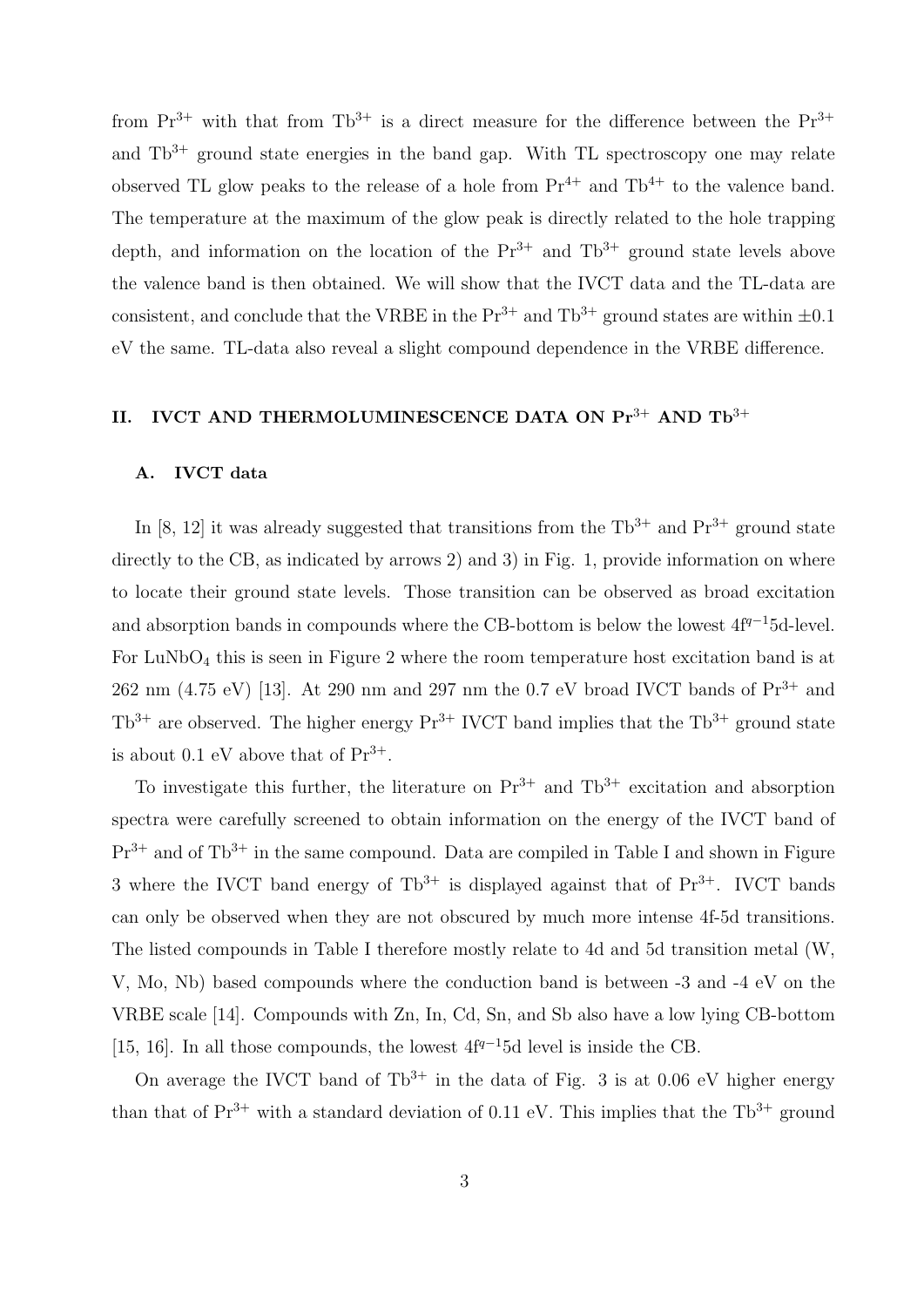from  $Pr^{3+}$  with that from  $Tb^{3+}$  is a direct measure for the difference between the  $Pr^{3+}$ and  $Tb^{3+}$  ground state energies in the band gap. With TL spectroscopy one may relate observed TL glow peaks to the release of a hole from  $Pr^{4+}$  and  $Th^{4+}$  to the valence band. The temperature at the maximum of the glow peak is directly related to the hole trapping depth, and information on the location of the  $Pr^{3+}$  and  $Th^{3+}$  ground state levels above the valence band is then obtained. We will show that the IVCT data and the TL-data are consistent, and conclude that the VRBE in the  $\mathrm{Pr}^{3+}$  and  $\mathrm{Th}^{3+}$  ground states are within  $\pm 0.1$ eV the same. TL-data also reveal a slight compound dependence in the VRBE difference.

# II. IVCT AND THERMOLUMINESCENCE DATA ON  $Pr^{3+}$  AND  $Th^{3+}$

## A. IVCT data

In [8, 12] it was already suggested that transitions from the  $\text{Th}^{3+}$  and  $\text{Pr}^{3+}$  ground state directly to the CB, as indicated by arrows 2) and 3) in Fig. 1, provide information on where to locate their ground state levels. Those transition can be observed as broad excitation and absorption bands in compounds where the CB-bottom is below the lowest  $4f^{q-1}5d$ -level. For  $LuNbO<sub>4</sub>$  this is seen in Figure 2 where the room temperature host excitation band is at 262 nm (4.75 eV) [13]. At 290 nm and 297 nm the 0.7 eV broad IVCT bands of  $Pr^{3+}$  and  $Tb^{3+}$  are observed. The higher energy  $Pr^{3+}$  IVCT band implies that the  $Tb^{3+}$  ground state is about 0.1 eV above that of  $Pr^{3+}$ .

To investigate this further, the literature on  $Pr^{3+}$  and  $Th^{3+}$  excitation and absorption spectra were carefully screened to obtain information on the energy of the IVCT band of  $Pr<sup>3+</sup>$  and of  $Tb<sup>3+</sup>$  in the same compound. Data are compiled in Table I and shown in Figure 3 where the IVCT band energy of  $\text{Th}^{3+}$  is displayed against that of  $\text{Pr}^{3+}$ . IVCT bands can only be observed when they are not obscured by much more intense 4f-5d transitions. The listed compounds in Table I therefore mostly relate to 4d and 5d transition metal (W, V, Mo, Nb) based compounds where the conduction band is between -3 and -4 eV on the VRBE scale [14]. Compounds with Zn, In, Cd, Sn, and Sb also have a low lying CB-bottom [15, 16]. In all those compounds, the lowest  $4f^{q-1}5d$  level is inside the CB.

On average the IVCT band of  $Tb^{3+}$  in the data of Fig. 3 is at 0.06 eV higher energy than that of  $Pr^{3+}$  with a standard deviation of 0.11 eV. This implies that the Tb<sup>3+</sup> ground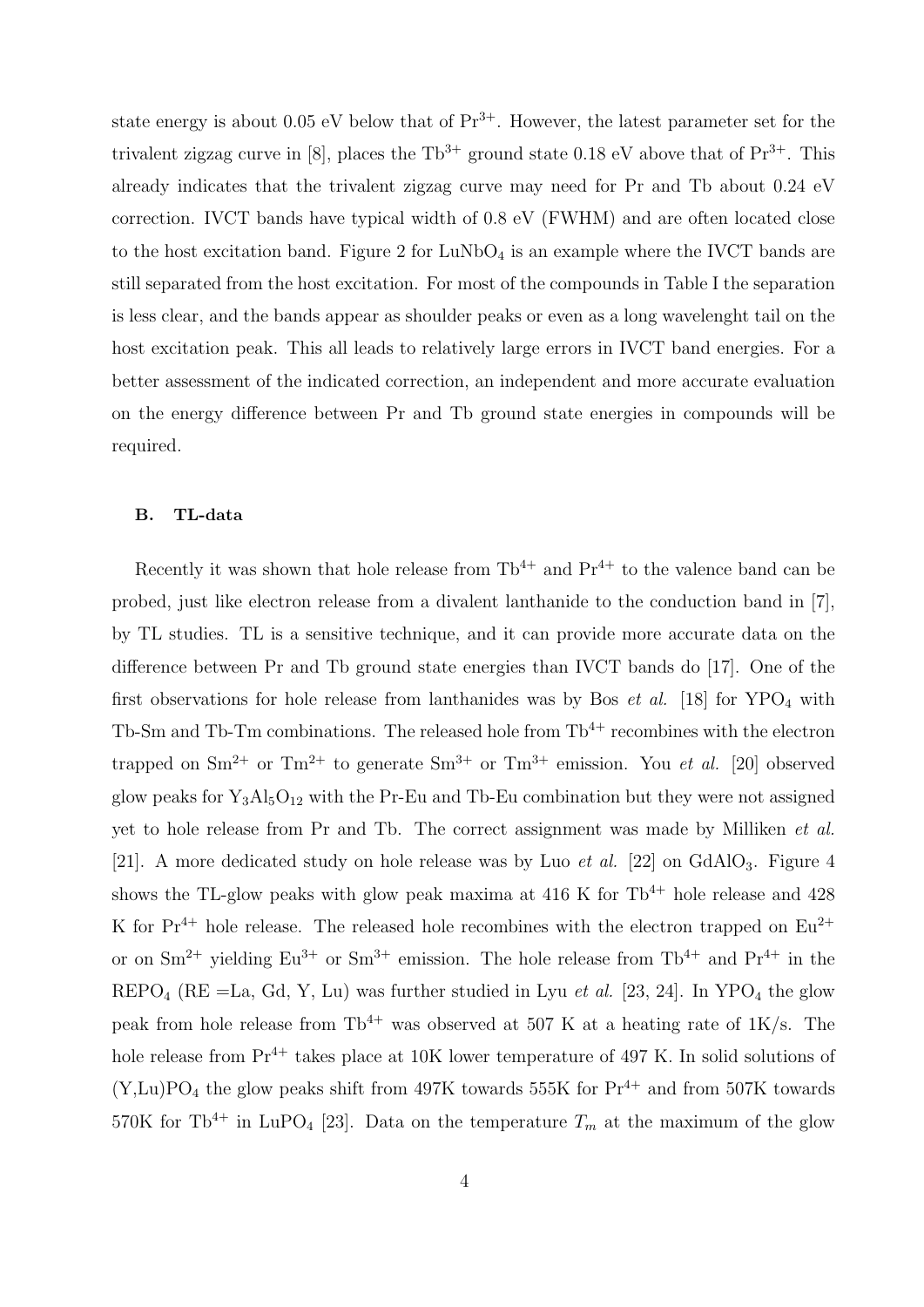state energy is about 0.05 eV below that of  $Pr^{3+}$ . However, the latest parameter set for the trivalent zigzag curve in [8], places the  $Tb^{3+}$  ground state 0.18 eV above that of  $Pr^{3+}$ . This already indicates that the trivalent zigzag curve may need for Pr and Tb about 0.24 eV correction. IVCT bands have typical width of 0.8 eV (FWHM) and are often located close to the host excitation band. Figure 2 for  $LuNbO<sub>4</sub>$  is an example where the IVCT bands are still separated from the host excitation. For most of the compounds in Table I the separation is less clear, and the bands appear as shoulder peaks or even as a long wavelenght tail on the host excitation peak. This all leads to relatively large errors in IVCT band energies. For a better assessment of the indicated correction, an independent and more accurate evaluation on the energy difference between Pr and Tb ground state energies in compounds will be required.

## B. TL-data

Recently it was shown that hole release from  $Tb^{4+}$  and  $Pr^{4+}$  to the valence band can be probed, just like electron release from a divalent lanthanide to the conduction band in [7], by TL studies. TL is a sensitive technique, and it can provide more accurate data on the difference between Pr and Tb ground state energies than IVCT bands do [17]. One of the first observations for hole release from lanthanides was by Bos *et al.* [18] for  $YPO_4$  with Tb-Sm and Tb-Tm combinations. The released hole from  $Tb^{4+}$  recombines with the electron trapped on  $\text{Sm}^{2+}$  or  $\text{Tm}^{2+}$  to generate  $\text{Sm}^{3+}$  or  $\text{Tm}^{3+}$  emission. You *et al.* [20] observed glow peaks for  $Y_3Al_5O_{12}$  with the Pr-Eu and Tb-Eu combination but they were not assigned yet to hole release from Pr and Tb. The correct assignment was made by Milliken et al. [21]. A more dedicated study on hole release was by Luo *et al.* [22] on GdAlO<sub>3</sub>. Figure 4 shows the TL-glow peaks with glow peak maxima at 416 K for  $\text{Th}^{4+}$  hole release and 428 K for  $Pr^{4+}$  hole release. The released hole recombines with the electron trapped on  $Eu^{2+}$ or on  $\rm Sm^{2+}$  yielding  $\rm Eu^{3+}$  or  $\rm Sm^{3+}$  emission. The hole release from  $\rm Tb^{4+}$  and  $\rm Pr^{4+}$  in the REPO<sub>4</sub> (RE =La, Gd, Y, Lu) was further studied in Lyu *et al.* [23, 24]. In YPO<sub>4</sub> the glow peak from hole release from  $\text{Th}^{4+}$  was observed at 507 K at a heating rate of 1K/s. The hole release from  $Pr^{4+}$  takes place at 10K lower temperature of 497 K. In solid solutions of  $(Y, Lu)PO<sub>4</sub>$  the glow peaks shift from 497K towards 555K for  $Pr<sup>4+</sup>$  and from 507K towards 570K for Tb<sup>4+</sup> in LuPO<sub>4</sub> [23]. Data on the temperature  $T_m$  at the maximum of the glow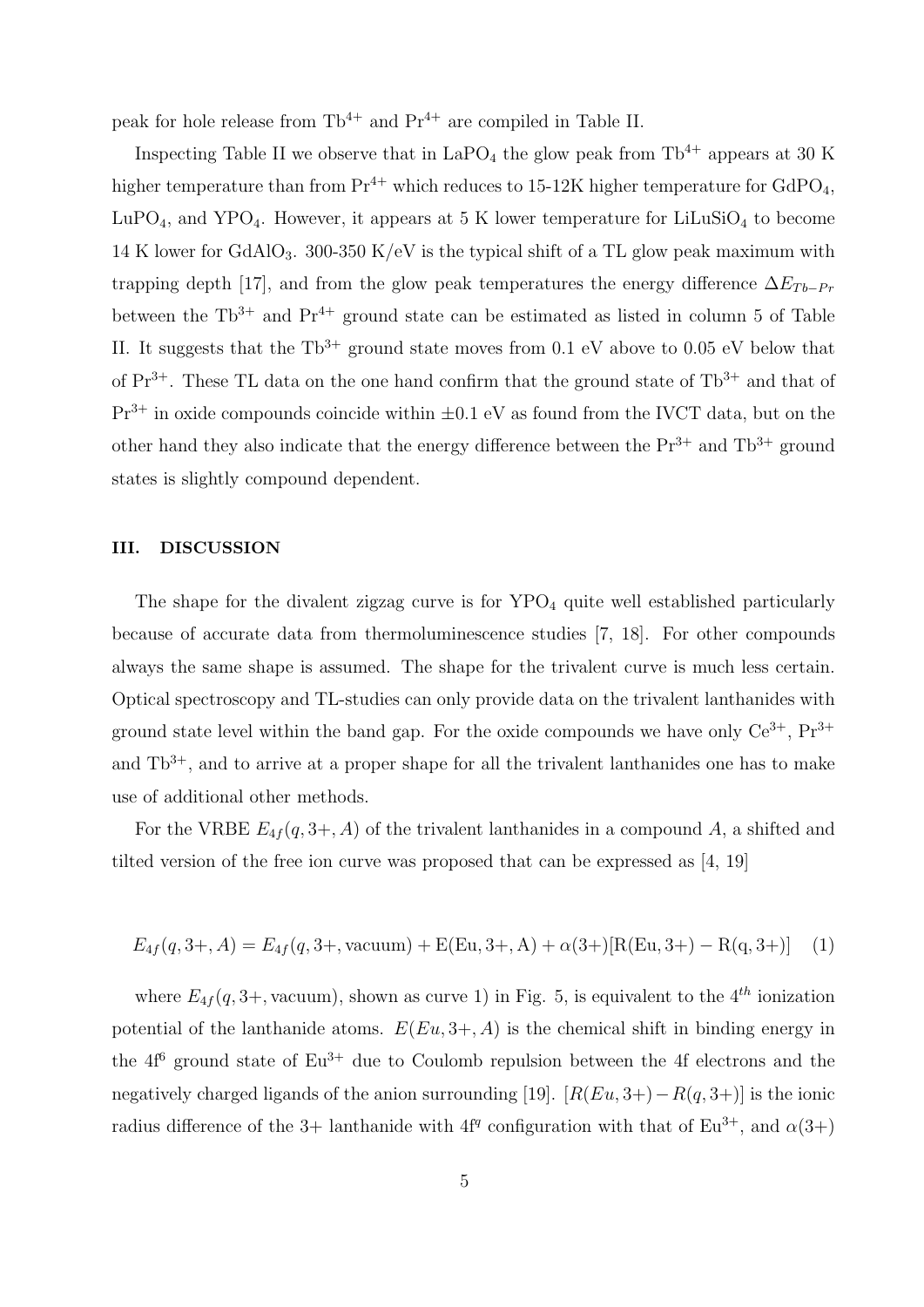peak for hole release from  $Tb^{4+}$  and  $Pr^{4+}$  are compiled in Table II.

Inspecting Table II we observe that in  $LaPO<sub>4</sub>$  the glow peak from Tb<sup>4+</sup> appears at 30 K higher temperature than from  $Pr^{4+}$  which reduces to 15-12K higher temperature for GdPO<sub>4</sub>, LuPO<sub>4</sub>, and YPO<sub>4</sub>. However, it appears at 5 K lower temperature for LiLuSiO<sub>4</sub> to become 14 K lower for GdAlO<sub>3</sub>. 300-350 K/eV is the typical shift of a TL glow peak maximum with trapping depth [17], and from the glow peak temperatures the energy difference  $\Delta E_{Tb-Pr}$ between the  $\text{Th}^{3+}$  and  $\text{Pr}^{4+}$  ground state can be estimated as listed in column 5 of Table II. It suggests that the  $Tb^{3+}$  ground state moves from 0.1 eV above to 0.05 eV below that of  $Pr^{3+}$ . These TL data on the one hand confirm that the ground state of  $Tb^{3+}$  and that of  $Pr<sup>3+</sup>$  in oxide compounds coincide within  $\pm 0.1$  eV as found from the IVCT data, but on the other hand they also indicate that the energy difference between the  $Pr^{3+}$  and  $Th^{3+}$  ground states is slightly compound dependent.

### III. DISCUSSION

The shape for the divalent zigzag curve is for  $YPO<sub>4</sub>$  quite well established particularly because of accurate data from thermoluminescence studies [7, 18]. For other compounds always the same shape is assumed. The shape for the trivalent curve is much less certain. Optical spectroscopy and TL-studies can only provide data on the trivalent lanthanides with ground state level within the band gap. For the oxide compounds we have only  $Ce^{3+}$ ,  $Pr^{3+}$ and  $Tb^{3+}$ , and to arrive at a proper shape for all the trivalent lanthanides one has to make use of additional other methods.

For the VRBE  $E_{4f}(q, 3+, A)$  of the trivalent lanthanides in a compound A, a shifted and tilted version of the free ion curve was proposed that can be expressed as [4, 19]

$$
E_{4f}(q, 3+, A) = E_{4f}(q, 3+, \text{vacuum}) + E(Eu, 3+, A) + \alpha(3+) [R(Eu, 3+) - R(q, 3+)] \tag{1}
$$

where  $E_{4f}(q, 3+)$ , vacuum), shown as curve 1) in Fig. 5, is equivalent to the 4<sup>th</sup> ionization potential of the lanthanide atoms.  $E(Eu, 3+, A)$  is the chemical shift in binding energy in the  $4f<sup>6</sup>$  ground state of  $Eu<sup>3+</sup>$  due to Coulomb repulsion between the 4f electrons and the negatively charged ligands of the anion surrounding [19].  $[R(Eu, 3+) - R(q, 3+) ]$  is the ionic radius difference of the 3+ lanthanide with  $4f^q$  configuration with that of  $Eu^{3+}$ , and  $\alpha(3+)$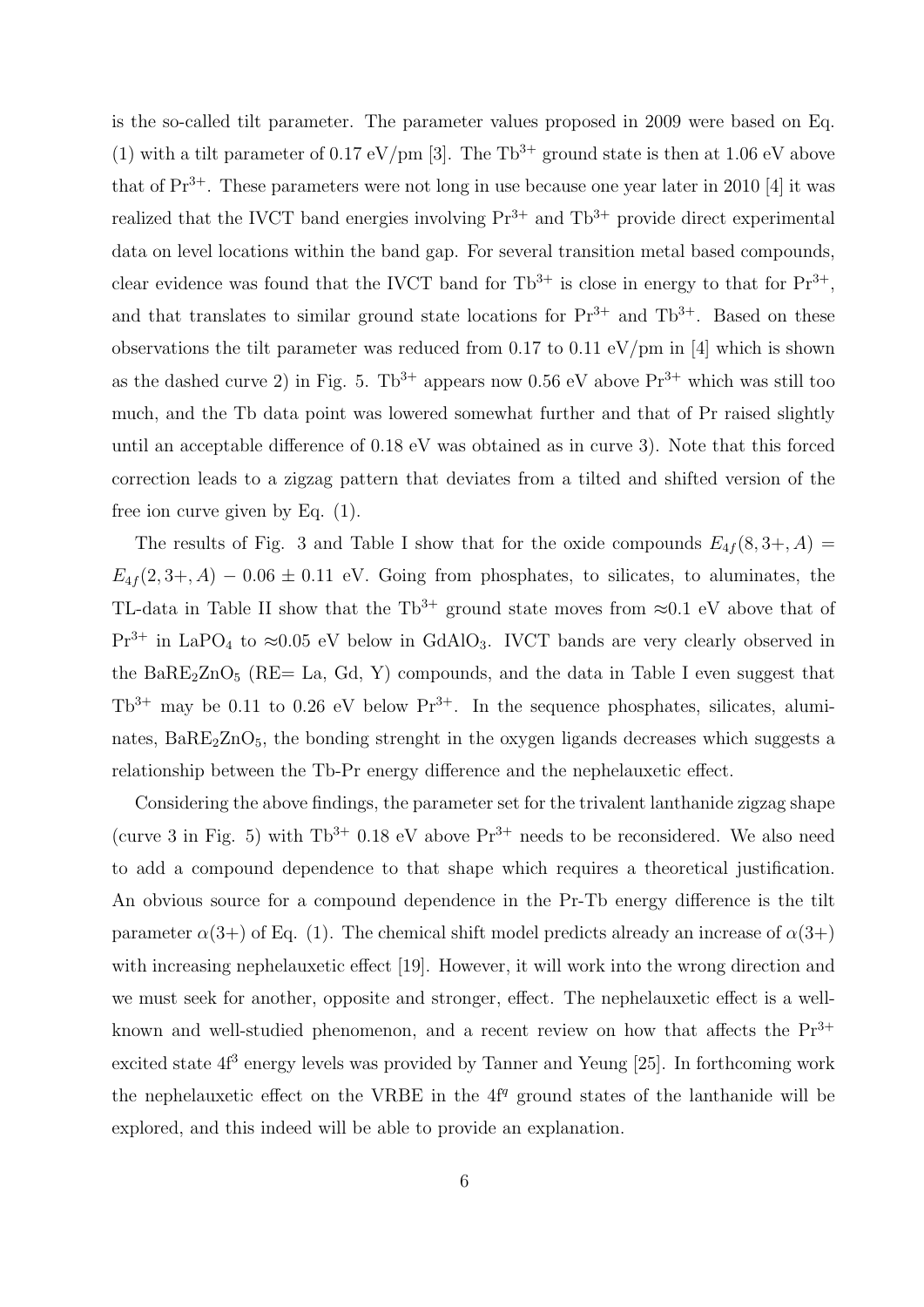is the so-called tilt parameter. The parameter values proposed in 2009 were based on Eq. (1) with a tilt parameter of 0.17 eV/pm [3]. The Tb<sup>3+</sup> ground state is then at 1.06 eV above that of  $Pr^{3+}$ . These parameters were not long in use because one year later in 2010 [4] it was realized that the IVCT band energies involving  $Pr^{3+}$  and  $Th^{3+}$  provide direct experimental data on level locations within the band gap. For several transition metal based compounds, clear evidence was found that the IVCT band for  $Tb^{3+}$  is close in energy to that for  $Pr^{3+}$ , and that translates to similar ground state locations for  $Pr^{3+}$  and  $Th^{3+}$ . Based on these observations the tilt parameter was reduced from 0.17 to 0.11 eV/pm in [4] which is shown as the dashed curve 2) in Fig. 5. Tb<sup>3+</sup> appears now 0.56 eV above  $Pr^{3+}$  which was still too much, and the Tb data point was lowered somewhat further and that of Pr raised slightly until an acceptable difference of 0.18 eV was obtained as in curve 3). Note that this forced correction leads to a zigzag pattern that deviates from a tilted and shifted version of the free ion curve given by Eq. (1).

The results of Fig. 3 and Table I show that for the oxide compounds  $E_{4f}(8,3+,A)$  $E_{4f}(2,3+,A) - 0.06 \pm 0.11$  eV. Going from phosphates, to silicates, to aluminates, the TL-data in Table II show that the Tb<sup>3+</sup> ground state moves from  $\approx 0.1$  eV above that of  $Pr^{3+}$  in LaPO<sub>4</sub> to ≈0.05 eV below in GdAlO<sub>3</sub>. IVCT bands are very clearly observed in the Ba $RE_2ZnO_5$  (RE= La, Gd, Y) compounds, and the data in Table I even suggest that  $Tb^{3+}$  may be 0.11 to 0.26 eV below  $Pr^{3+}$ . In the sequence phosphates, silicates, aluminates,  $BaRE<sub>2</sub>ZnO<sub>5</sub>$ , the bonding strenght in the oxygen ligands decreases which suggests a relationship between the Tb-Pr energy difference and the nephelauxetic effect.

Considering the above findings, the parameter set for the trivalent lanthanide zigzag shape (curve 3 in Fig. 5) with  $Tb^{3+}$  0.18 eV above  $Pr^{3+}$  needs to be reconsidered. We also need to add a compound dependence to that shape which requires a theoretical justification. An obvious source for a compound dependence in the Pr-Tb energy difference is the tilt parameter  $\alpha(3+)$  of Eq. (1). The chemical shift model predicts already an increase of  $\alpha(3+)$ with increasing nephelauxetic effect [19]. However, it will work into the wrong direction and we must seek for another, opposite and stronger, effect. The nephelauxetic effect is a wellknown and well-studied phenomenon, and a recent review on how that affects the  $Pr^{3+}$ excited state  $4f<sup>3</sup>$  energy levels was provided by Tanner and Yeung [25]. In forthcoming work the nephelauxetic effect on the VRBE in the  $4f<sup>q</sup>$  ground states of the lanthanide will be explored, and this indeed will be able to provide an explanation.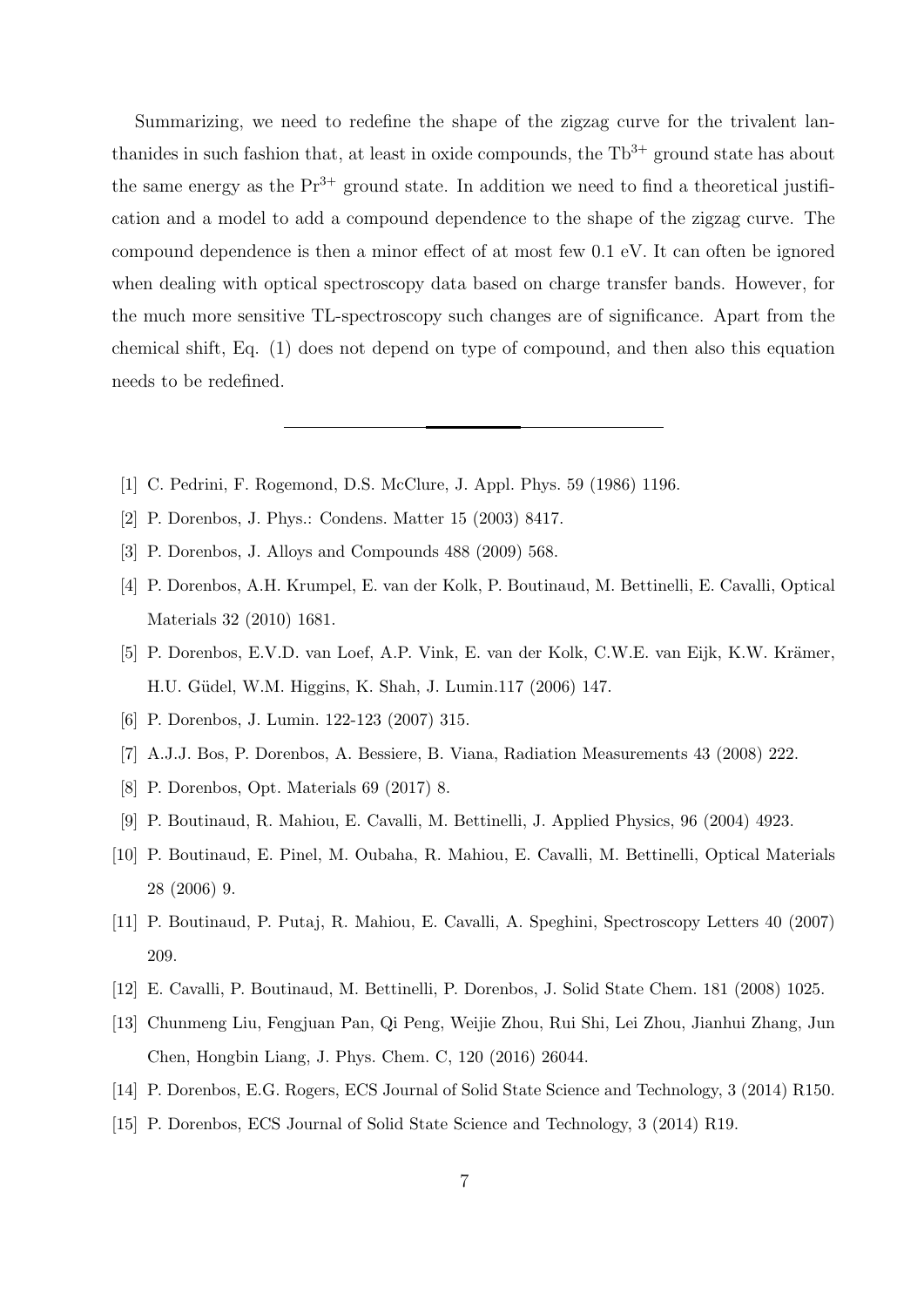Summarizing, we need to redefine the shape of the zigzag curve for the trivalent lanthanides in such fashion that, at least in oxide compounds, the  $Tb^{3+}$  ground state has about the same energy as the  $Pr^{3+}$  ground state. In addition we need to find a theoretical justification and a model to add a compound dependence to the shape of the zigzag curve. The compound dependence is then a minor effect of at most few 0.1 eV. It can often be ignored when dealing with optical spectroscopy data based on charge transfer bands. However, for the much more sensitive TL-spectroscopy such changes are of significance. Apart from the chemical shift, Eq. (1) does not depend on type of compound, and then also this equation needs to be redefined.

- [1] C. Pedrini, F. Rogemond, D.S. McClure, J. Appl. Phys. 59 (1986) 1196.
- [2] P. Dorenbos, J. Phys.: Condens. Matter 15 (2003) 8417.
- [3] P. Dorenbos, J. Alloys and Compounds 488 (2009) 568.
- [4] P. Dorenbos, A.H. Krumpel, E. van der Kolk, P. Boutinaud, M. Bettinelli, E. Cavalli, Optical Materials 32 (2010) 1681.
- [5] P. Dorenbos, E.V.D. van Loef, A.P. Vink, E. van der Kolk, C.W.E. van Eijk, K.W. Krämer, H.U. Güdel, W.M. Higgins, K. Shah, J. Lumin.117 (2006) 147.
- [6] P. Dorenbos, J. Lumin. 122-123 (2007) 315.
- [7] A.J.J. Bos, P. Dorenbos, A. Bessiere, B. Viana, Radiation Measurements 43 (2008) 222.
- [8] P. Dorenbos, Opt. Materials 69 (2017) 8.
- [9] P. Boutinaud, R. Mahiou, E. Cavalli, M. Bettinelli, J. Applied Physics, 96 (2004) 4923.
- [10] P. Boutinaud, E. Pinel, M. Oubaha, R. Mahiou, E. Cavalli, M. Bettinelli, Optical Materials 28 (2006) 9.
- [11] P. Boutinaud, P. Putaj, R. Mahiou, E. Cavalli, A. Speghini, Spectroscopy Letters 40 (2007) 209.
- [12] E. Cavalli, P. Boutinaud, M. Bettinelli, P. Dorenbos, J. Solid State Chem. 181 (2008) 1025.
- [13] Chunmeng Liu, Fengjuan Pan, Qi Peng, Weijie Zhou, Rui Shi, Lei Zhou, Jianhui Zhang, Jun Chen, Hongbin Liang, J. Phys. Chem. C, 120 (2016) 26044.
- [14] P. Dorenbos, E.G. Rogers, ECS Journal of Solid State Science and Technology, 3 (2014) R150.
- [15] P. Dorenbos, ECS Journal of Solid State Science and Technology, 3 (2014) R19.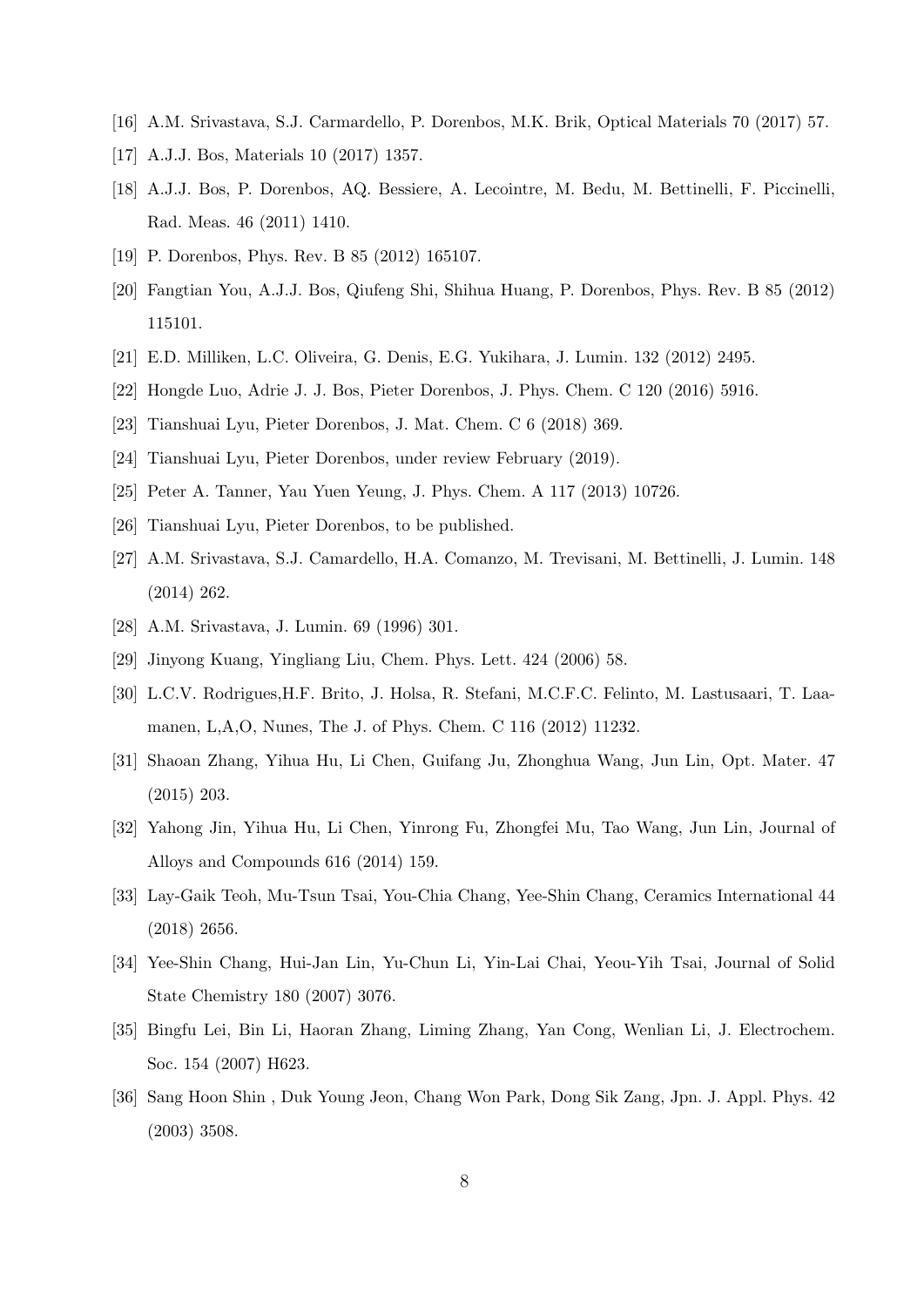- [16] A.M. Srivastava, S.J. Carmardello, P. Dorenbos, M.K. Brik, Optical Materials 70 (2017) 57.
- [17] A.J.J. Bos, Materials 10 (2017) 1357.
- [18] A.J.J. Bos, P. Dorenbos, AQ. Bessiere, A. Lecointre, M. Bedu, M. Bettinelli, F. Piccinelli, Rad. Meas. 46 (2011) 1410.
- [19] P. Dorenbos, Phys. Rev. B 85 (2012) 165107.
- [20] Fangtian You, A.J.J. Bos, Qiufeng Shi, Shihua Huang, P. Dorenbos, Phys. Rev. B 85 (2012) 115101.
- [21] E.D. Milliken, L.C. Oliveira, G. Denis, E.G. Yukihara, J. Lumin. 132 (2012) 2495.
- [22] Hongde Luo, Adrie J. J. Bos, Pieter Dorenbos, J. Phys. Chem. C 120 (2016) 5916.
- [23] Tianshuai Lyu, Pieter Dorenbos, J. Mat. Chem. C 6 (2018) 369.
- [24] Tianshuai Lyu, Pieter Dorenbos, under review February (2019).
- [25] Peter A. Tanner, Yau Yuen Yeung, J. Phys. Chem. A 117 (2013) 10726.
- [26] Tianshuai Lyu, Pieter Dorenbos, to be published.
- [27] A.M. Srivastava, S.J. Camardello, H.A. Comanzo, M. Trevisani, M. Bettinelli, J. Lumin. 148 (2014) 262.
- [28] A.M. Srivastava, J. Lumin. 69 (1996) 301.
- [29] Jinyong Kuang, Yingliang Liu, Chem. Phys. Lett. 424 (2006) 58.
- [30] L.C.V. Rodrigues,H.F. Brito, J. Holsa, R. Stefani, M.C.F.C. Felinto, M. Lastusaari, T. Laamanen, L,A,O, Nunes, The J. of Phys. Chem. C 116 (2012) 11232.
- [31] Shaoan Zhang, Yihua Hu, Li Chen, Guifang Ju, Zhonghua Wang, Jun Lin, Opt. Mater. 47 (2015) 203.
- [32] Yahong Jin, Yihua Hu, Li Chen, Yinrong Fu, Zhongfei Mu, Tao Wang, Jun Lin, Journal of Alloys and Compounds 616 (2014) 159.
- [33] Lay-Gaik Teoh, Mu-Tsun Tsai, You-Chia Chang, Yee-Shin Chang, Ceramics International 44 (2018) 2656.
- [34] Yee-Shin Chang, Hui-Jan Lin, Yu-Chun Li, Yin-Lai Chai, Yeou-Yih Tsai, Journal of Solid State Chemistry 180 (2007) 3076.
- [35] Bingfu Lei, Bin Li, Haoran Zhang, Liming Zhang, Yan Cong, Wenlian Li, J. Electrochem. Soc. 154 (2007) H623.
- [36] Sang Hoon Shin , Duk Young Jeon, Chang Won Park, Dong Sik Zang, Jpn. J. Appl. Phys. 42 (2003) 3508.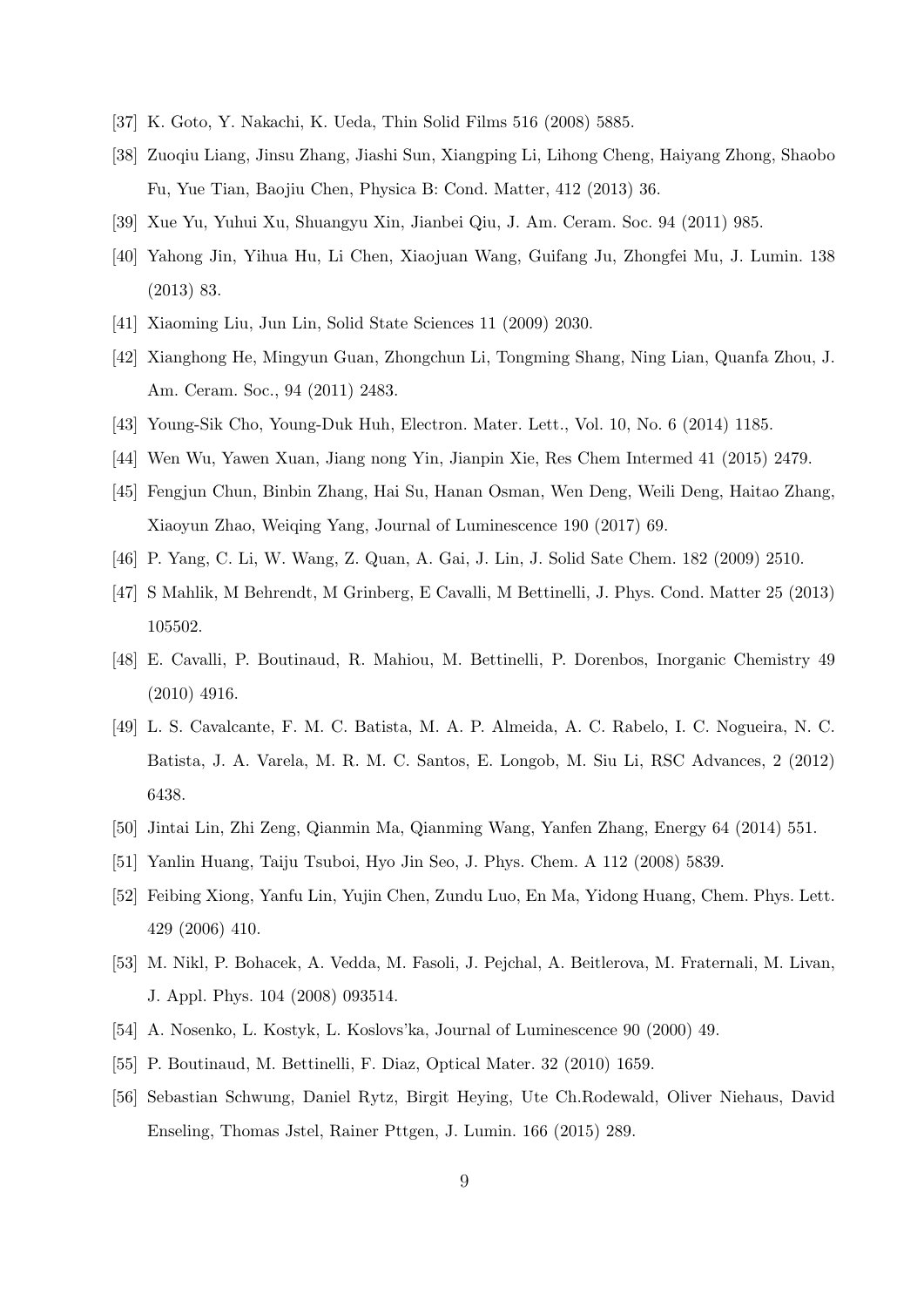- [37] K. Goto, Y. Nakachi, K. Ueda, Thin Solid Films 516 (2008) 5885.
- [38] Zuoqiu Liang, Jinsu Zhang, Jiashi Sun, Xiangping Li, Lihong Cheng, Haiyang Zhong, Shaobo Fu, Yue Tian, Baojiu Chen, Physica B: Cond. Matter, 412 (2013) 36.
- [39] Xue Yu, Yuhui Xu, Shuangyu Xin, Jianbei Qiu, J. Am. Ceram. Soc. 94 (2011) 985.
- [40] Yahong Jin, Yihua Hu, Li Chen, Xiaojuan Wang, Guifang Ju, Zhongfei Mu, J. Lumin. 138 (2013) 83.
- [41] Xiaoming Liu, Jun Lin, Solid State Sciences 11 (2009) 2030.
- [42] Xianghong He, Mingyun Guan, Zhongchun Li, Tongming Shang, Ning Lian, Quanfa Zhou, J. Am. Ceram. Soc., 94 (2011) 2483.
- [43] Young-Sik Cho, Young-Duk Huh, Electron. Mater. Lett., Vol. 10, No. 6 (2014) 1185.
- [44] Wen Wu, Yawen Xuan, Jiang nong Yin, Jianpin Xie, Res Chem Intermed 41 (2015) 2479.
- [45] Fengjun Chun, Binbin Zhang, Hai Su, Hanan Osman, Wen Deng, Weili Deng, Haitao Zhang, Xiaoyun Zhao, Weiqing Yang, Journal of Luminescence 190 (2017) 69.
- [46] P. Yang, C. Li, W. Wang, Z. Quan, A. Gai, J. Lin, J. Solid Sate Chem. 182 (2009) 2510.
- [47] S Mahlik, M Behrendt, M Grinberg, E Cavalli, M Bettinelli, J. Phys. Cond. Matter 25 (2013) 105502.
- [48] E. Cavalli, P. Boutinaud, R. Mahiou, M. Bettinelli, P. Dorenbos, Inorganic Chemistry 49 (2010) 4916.
- [49] L. S. Cavalcante, F. M. C. Batista, M. A. P. Almeida, A. C. Rabelo, I. C. Nogueira, N. C. Batista, J. A. Varela, M. R. M. C. Santos, E. Longob, M. Siu Li, RSC Advances, 2 (2012) 6438.
- [50] Jintai Lin, Zhi Zeng, Qianmin Ma, Qianming Wang, Yanfen Zhang, Energy 64 (2014) 551.
- [51] Yanlin Huang, Taiju Tsuboi, Hyo Jin Seo, J. Phys. Chem. A 112 (2008) 5839.
- [52] Feibing Xiong, Yanfu Lin, Yujin Chen, Zundu Luo, En Ma, Yidong Huang, Chem. Phys. Lett. 429 (2006) 410.
- [53] M. Nikl, P. Bohacek, A. Vedda, M. Fasoli, J. Pejchal, A. Beitlerova, M. Fraternali, M. Livan, J. Appl. Phys. 104 (2008) 093514.
- [54] A. Nosenko, L. Kostyk, L. Koslovs'ka, Journal of Luminescence 90 (2000) 49.
- [55] P. Boutinaud, M. Bettinelli, F. Diaz, Optical Mater. 32 (2010) 1659.
- [56] Sebastian Schwung, Daniel Rytz, Birgit Heying, Ute Ch.Rodewald, Oliver Niehaus, David Enseling, Thomas Jstel, Rainer Pttgen, J. Lumin. 166 (2015) 289.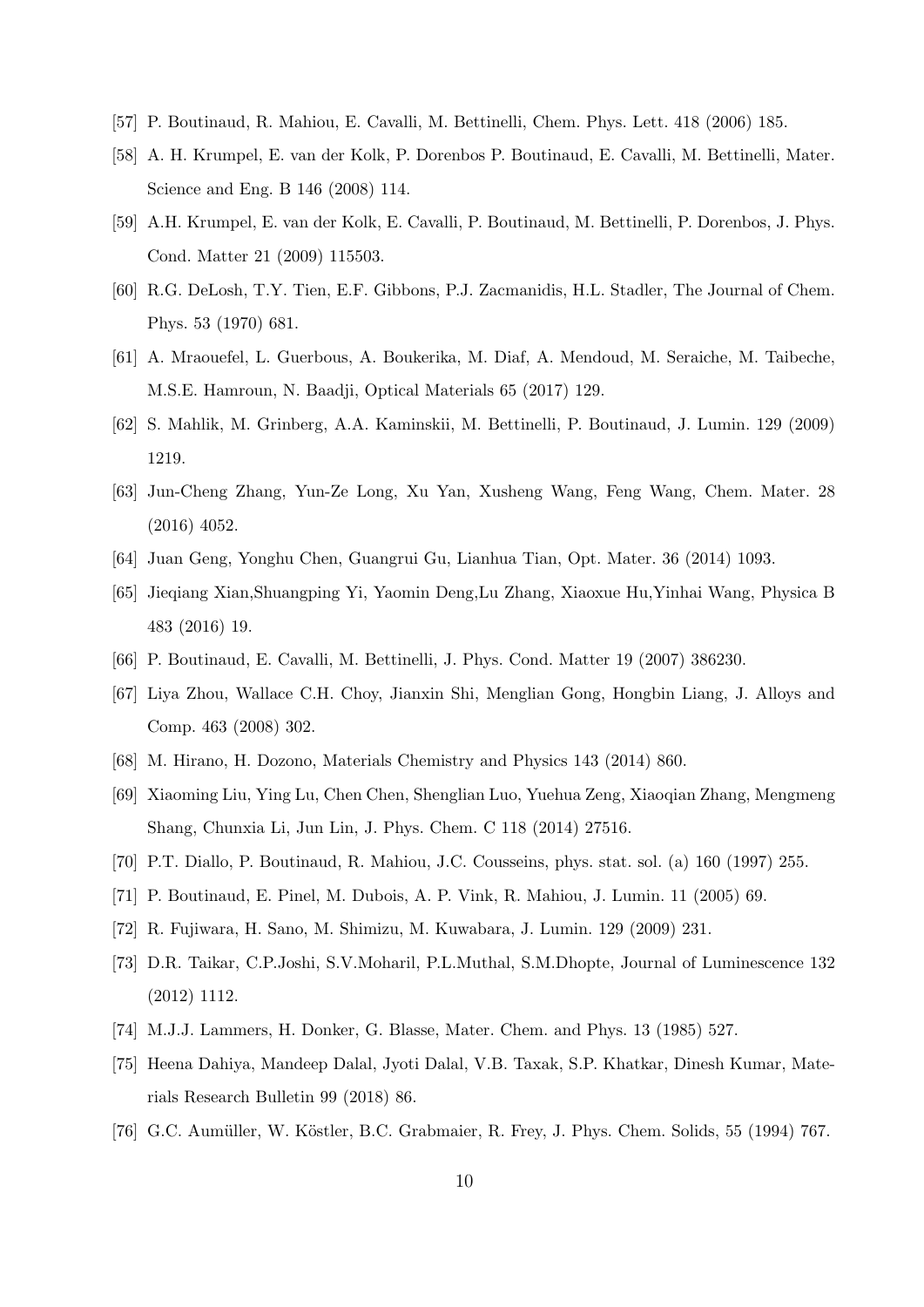- [57] P. Boutinaud, R. Mahiou, E. Cavalli, M. Bettinelli, Chem. Phys. Lett. 418 (2006) 185.
- [58] A. H. Krumpel, E. van der Kolk, P. Dorenbos P. Boutinaud, E. Cavalli, M. Bettinelli, Mater. Science and Eng. B 146 (2008) 114.
- [59] A.H. Krumpel, E. van der Kolk, E. Cavalli, P. Boutinaud, M. Bettinelli, P. Dorenbos, J. Phys. Cond. Matter 21 (2009) 115503.
- [60] R.G. DeLosh, T.Y. Tien, E.F. Gibbons, P.J. Zacmanidis, H.L. Stadler, The Journal of Chem. Phys. 53 (1970) 681.
- [61] A. Mraouefel, L. Guerbous, A. Boukerika, M. Diaf, A. Mendoud, M. Seraiche, M. Taibeche, M.S.E. Hamroun, N. Baadji, Optical Materials 65 (2017) 129.
- [62] S. Mahlik, M. Grinberg, A.A. Kaminskii, M. Bettinelli, P. Boutinaud, J. Lumin. 129 (2009) 1219.
- [63] Jun-Cheng Zhang, Yun-Ze Long, Xu Yan, Xusheng Wang, Feng Wang, Chem. Mater. 28 (2016) 4052.
- [64] Juan Geng, Yonghu Chen, Guangrui Gu, Lianhua Tian, Opt. Mater. 36 (2014) 1093.
- [65] Jieqiang Xian,Shuangping Yi, Yaomin Deng,Lu Zhang, Xiaoxue Hu,Yinhai Wang, Physica B 483 (2016) 19.
- [66] P. Boutinaud, E. Cavalli, M. Bettinelli, J. Phys. Cond. Matter 19 (2007) 386230.
- [67] Liya Zhou, Wallace C.H. Choy, Jianxin Shi, Menglian Gong, Hongbin Liang, J. Alloys and Comp. 463 (2008) 302.
- [68] M. Hirano, H. Dozono, Materials Chemistry and Physics 143 (2014) 860.
- [69] Xiaoming Liu, Ying Lu, Chen Chen, Shenglian Luo, Yuehua Zeng, Xiaoqian Zhang, Mengmeng Shang, Chunxia Li, Jun Lin, J. Phys. Chem. C 118 (2014) 27516.
- [70] P.T. Diallo, P. Boutinaud, R. Mahiou, J.C. Cousseins, phys. stat. sol. (a) 160 (1997) 255.
- [71] P. Boutinaud, E. Pinel, M. Dubois, A. P. Vink, R. Mahiou, J. Lumin. 11 (2005) 69.
- [72] R. Fujiwara, H. Sano, M. Shimizu, M. Kuwabara, J. Lumin. 129 (2009) 231.
- [73] D.R. Taikar, C.P.Joshi, S.V.Moharil, P.L.Muthal, S.M.Dhopte, Journal of Luminescence 132 (2012) 1112.
- [74] M.J.J. Lammers, H. Donker, G. Blasse, Mater. Chem. and Phys. 13 (1985) 527.
- [75] Heena Dahiya, Mandeep Dalal, Jyoti Dalal, V.B. Taxak, S.P. Khatkar, Dinesh Kumar, Materials Research Bulletin 99 (2018) 86.
- [76] G.C. Aumüller, W. Köstler, B.C. Grabmaier, R. Frey, J. Phys. Chem. Solids, 55 (1994) 767.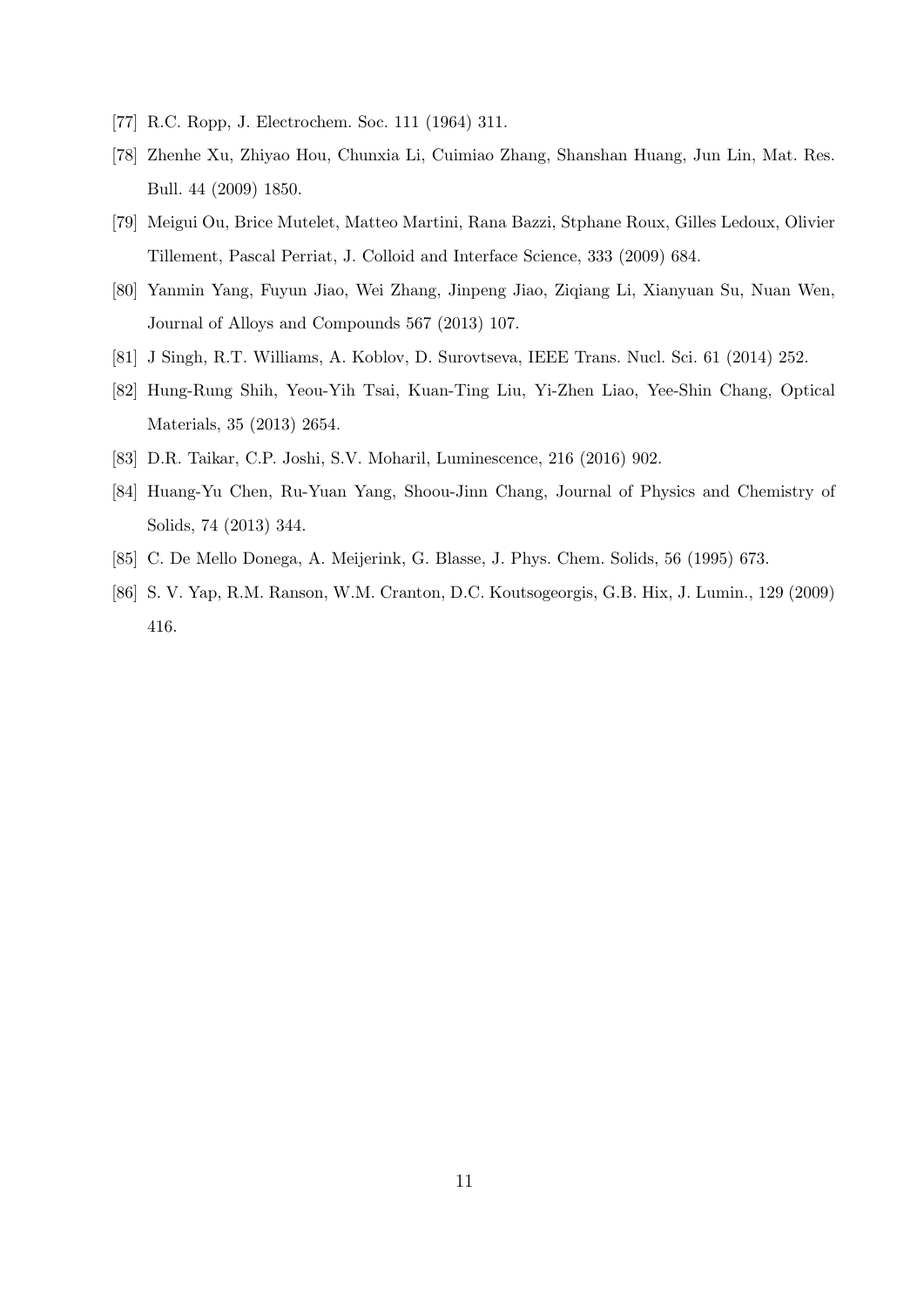- [77] R.C. Ropp, J. Electrochem. Soc. 111 (1964) 311.
- [78] Zhenhe Xu, Zhiyao Hou, Chunxia Li, Cuimiao Zhang, Shanshan Huang, Jun Lin, Mat. Res. Bull. 44 (2009) 1850.
- [79] Meigui Ou, Brice Mutelet, Matteo Martini, Rana Bazzi, Stphane Roux, Gilles Ledoux, Olivier Tillement, Pascal Perriat, J. Colloid and Interface Science, 333 (2009) 684.
- [80] Yanmin Yang, Fuyun Jiao, Wei Zhang, Jinpeng Jiao, Ziqiang Li, Xianyuan Su, Nuan Wen, Journal of Alloys and Compounds 567 (2013) 107.
- [81] J Singh, R.T. Williams, A. Koblov, D. Surovtseva, IEEE Trans. Nucl. Sci. 61 (2014) 252.
- [82] Hung-Rung Shih, Yeou-Yih Tsai, Kuan-Ting Liu, Yi-Zhen Liao, Yee-Shin Chang, Optical Materials, 35 (2013) 2654.
- [83] D.R. Taikar, C.P. Joshi, S.V. Moharil, Luminescence, 216 (2016) 902.
- [84] Huang-Yu Chen, Ru-Yuan Yang, Shoou-Jinn Chang, Journal of Physics and Chemistry of Solids, 74 (2013) 344.
- [85] C. De Mello Donega, A. Meijerink, G. Blasse, J. Phys. Chem. Solids, 56 (1995) 673.
- [86] S. V. Yap, R.M. Ranson, W.M. Cranton, D.C. Koutsogeorgis, G.B. Hix, J. Lumin., 129 (2009) 416.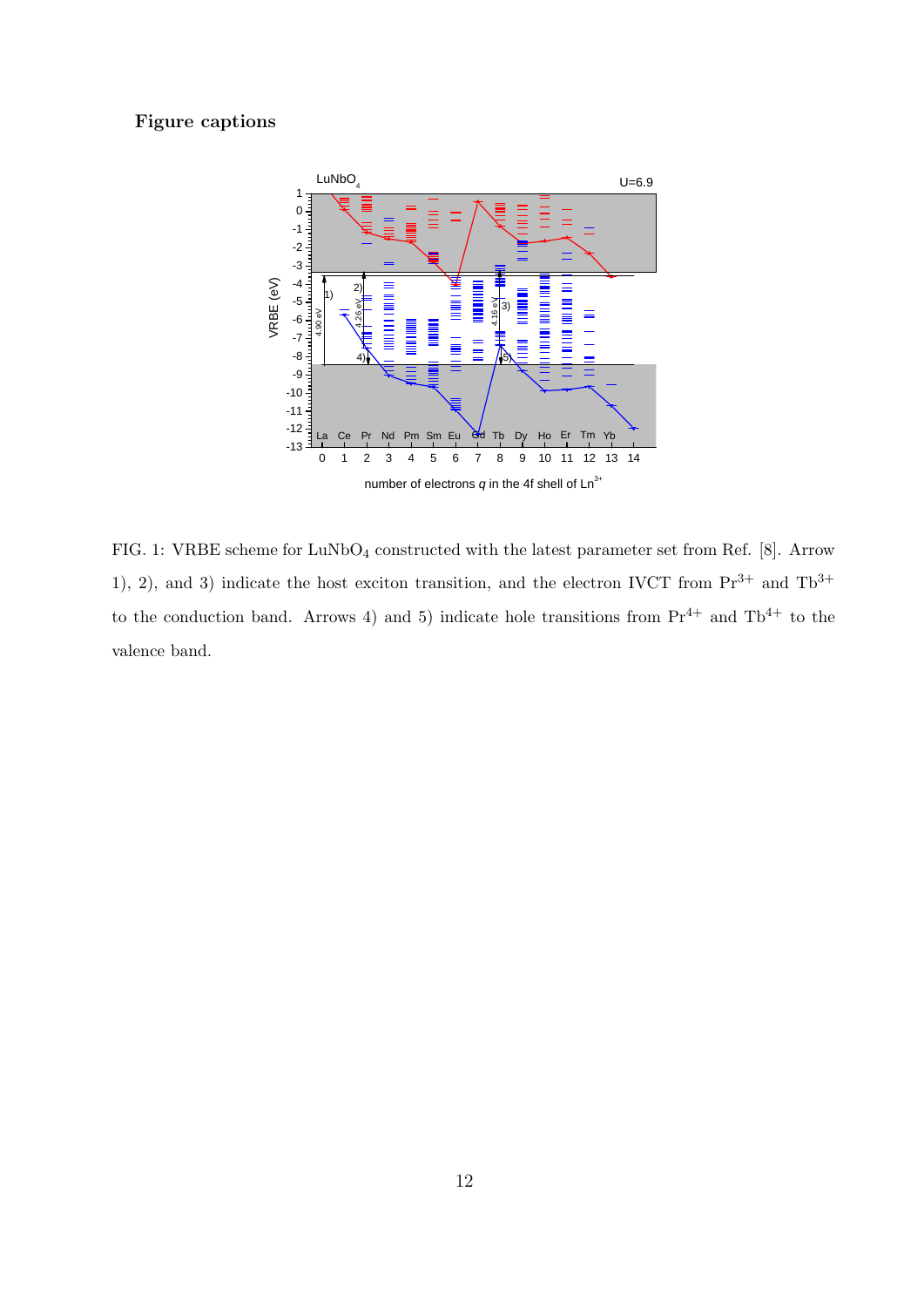## Figure captions



FIG. 1: VRBE scheme for LuNbO<sub>4</sub> constructed with the latest parameter set from Ref. [8]. Arrow 1), 2), and 3) indicate the host exciton transition, and the electron IVCT from  $Pr^{3+}$  and  $Tb^{3+}$ to the conduction band. Arrows 4) and 5) indicate hole transitions from  $Pr^{4+}$  and  $Th^{4+}$  to the valence band.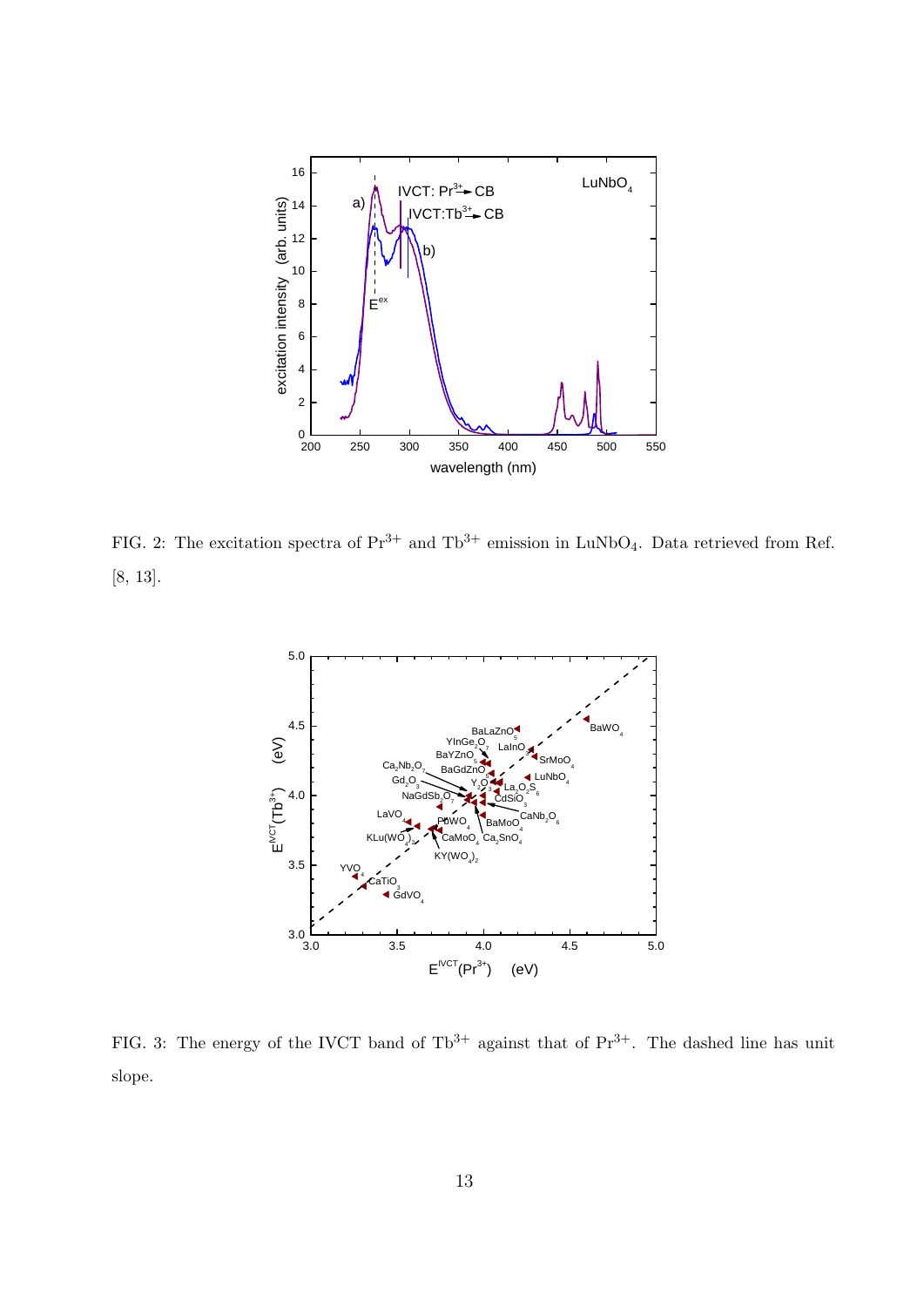

FIG. 2: The excitation spectra of  $Pr^{3+}$  and  $Tb^{3+}$  emission in LuNbO<sub>4</sub>. Data retrieved from Ref. [8, 13].



FIG. 3: The energy of the IVCT band of  $Tb^{3+}$  against that of  $Pr^{3+}$ . The dashed line has unit slope.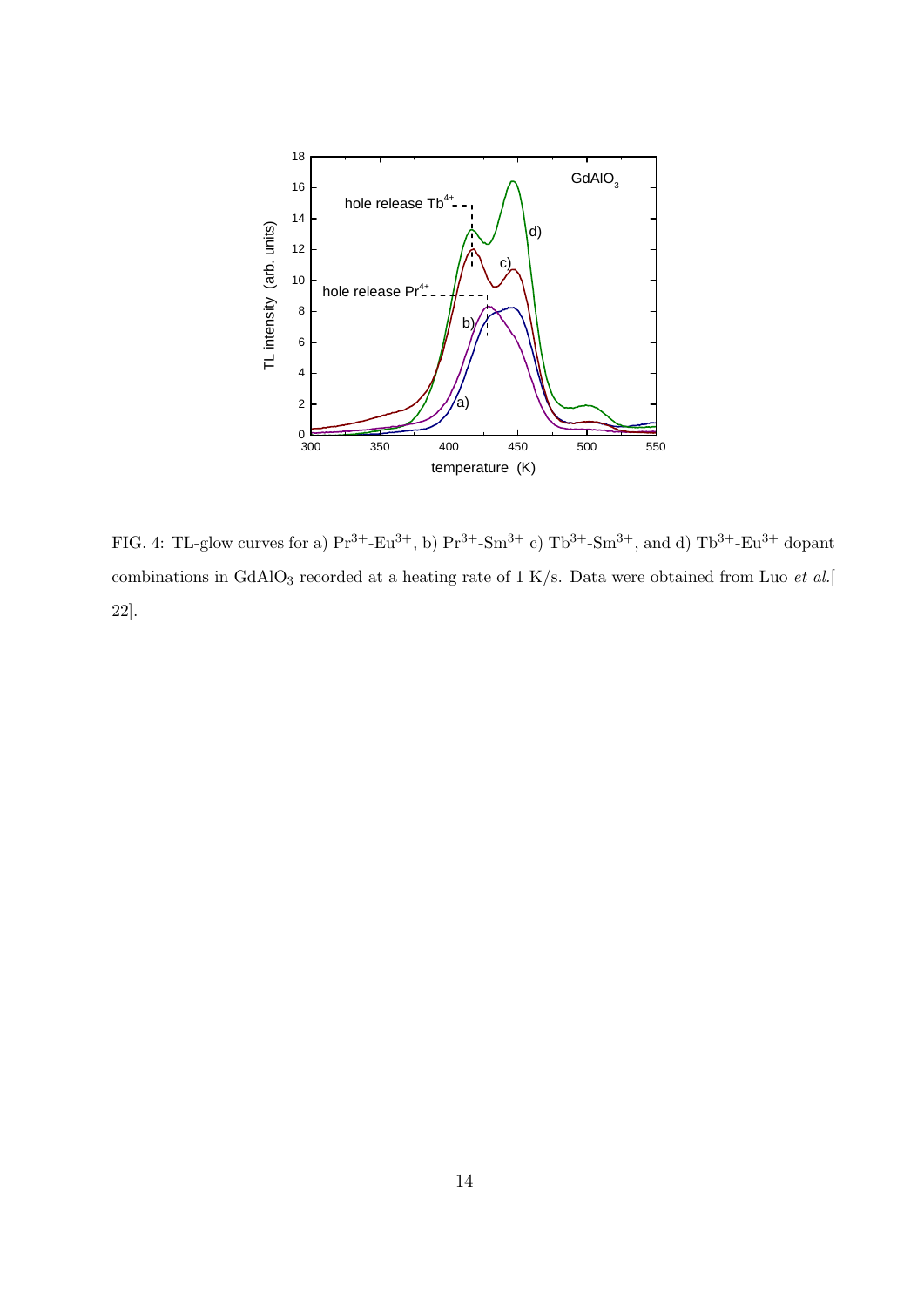

FIG. 4: TL-glow curves for a)  $Pr^{3+}-Eu^{3+}$ , b)  $Pr^{3+}-Sm^{3+}$  c)  $Tb^{3+}-Sm^{3+}$ , and d)  $Tb^{3+}-Eu^{3+}$  dopant combinations in GdAlO<sub>3</sub> recorded at a heating rate of 1 K/s. Data were obtained from Luo *et al.*[ 22].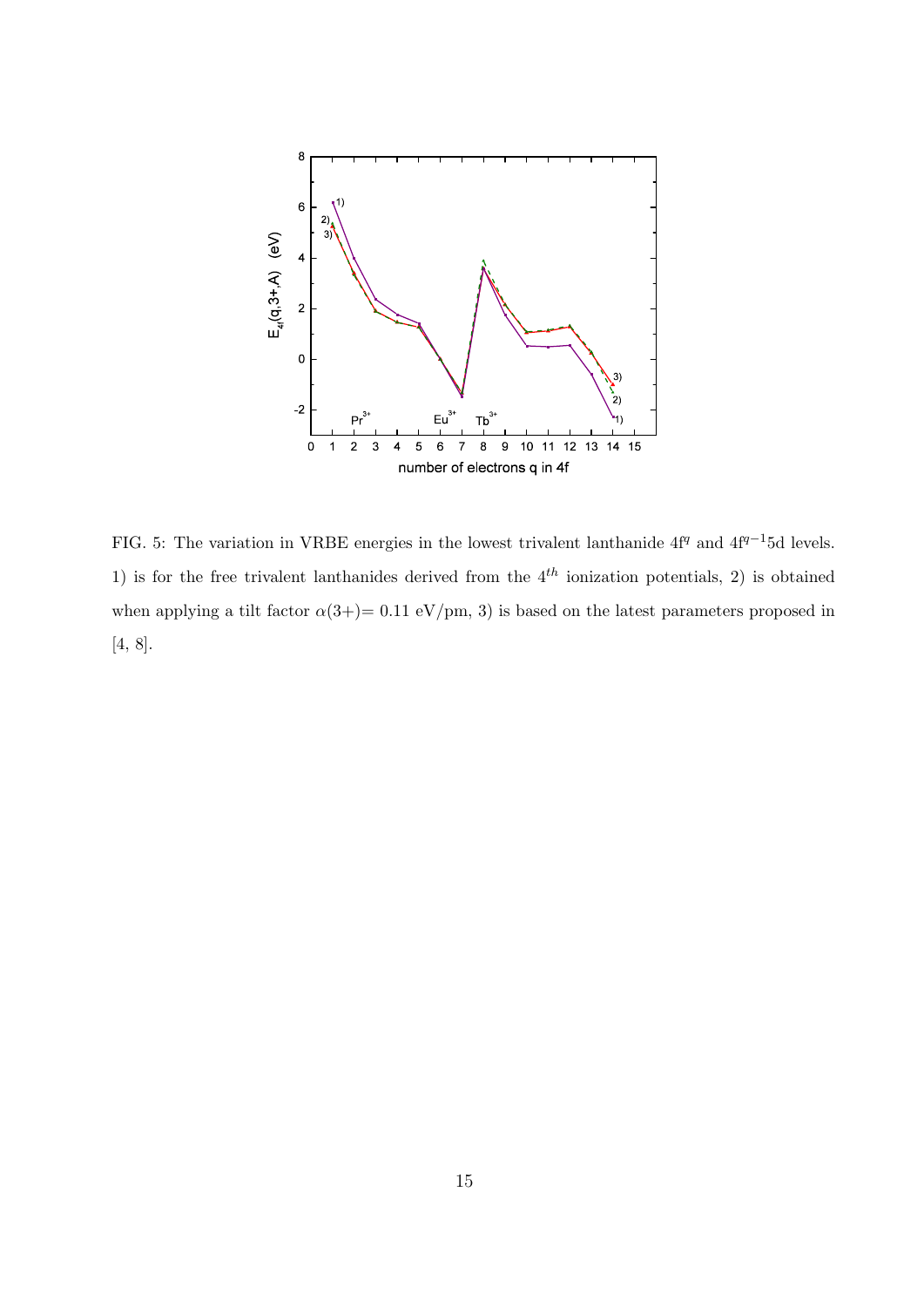

FIG. 5: The variation in VRBE energies in the lowest trivalent lanthanide  $4f^q$  and  $4f^{q-1}5d$  levels. 1) is for the free trivalent lanthanides derived from the  $4<sup>th</sup>$  ionization potentials, 2) is obtained when applying a tilt factor  $\alpha(3+) = 0.11 \text{ eV}/\text{pm}$ , 3) is based on the latest parameters proposed in [4, 8].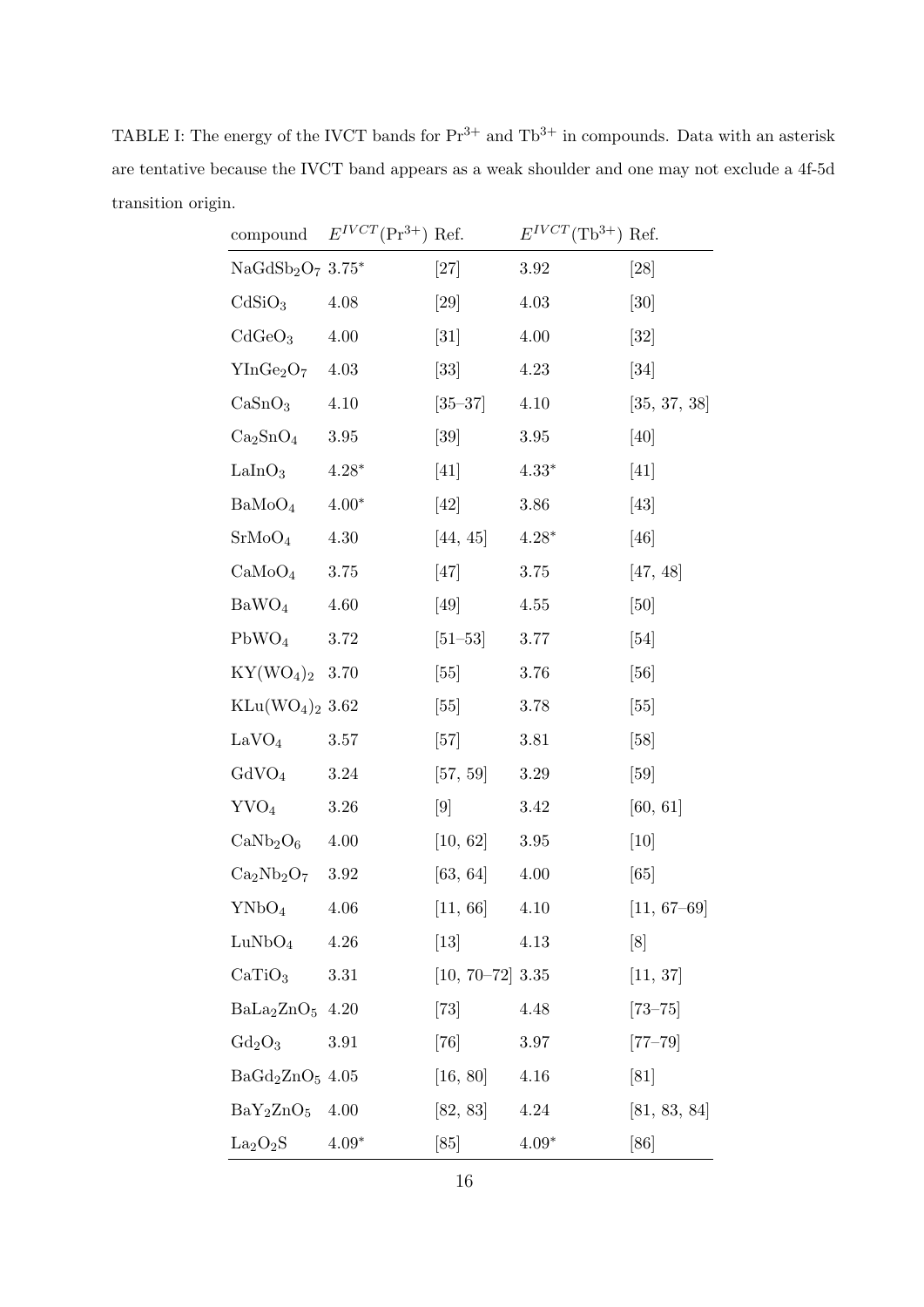TABLE I: The energy of the IVCT bands for  $Pr^{3+}$  and  $Tb^{3+}$  in compounds. Data with an asterisk are tentative because the IVCT band appears as a weak shoulder and one may not exclude a 4f-5d transition origin.

| compound                         | $E^{IVCT}(\Pr^{3+})$ Ref. |                      | $E^{IVCT}(\text{Tb}^{3+})$ Ref. |               |
|----------------------------------|---------------------------|----------------------|---------------------------------|---------------|
| $NaGdSb2O7 3.75*$                |                           | $[27]$               | 3.92                            | [28]          |
| CdSiO <sub>3</sub>               | 4.08                      | [29]                 | 4.03                            | [30]          |
| CdGeO <sub>3</sub>               | $4.00\,$                  | $[31]$               | 4.00                            | $[32]$        |
| $YInGe_2O_7$ 4.03                |                           | $\left[ 33\right]$   | 4.23                            | $[34]$        |
| CaSnO <sub>3</sub>               | 4.10                      | $[35-37]$            | 4.10                            | [35, 37, 38]  |
| $\rm Ca_2SnO_4$                  | 3.95                      | [39]                 | 3.95                            | $[40]$        |
| $\text{LalnO}_3$                 | $4.28*$                   | [41]                 | $4.33*$                         | [41]          |
| BaMoO <sub>4</sub>               | $4.00*$                   | [42]                 | $3.86\,$                        | [43]          |
| $\rm SrMoO_4$                    | 4.30                      | [44, 45]             | $4.28*$                         | [46]          |
| CaMoO <sub>4</sub>               | $3.75\,$                  | [47]                 | 3.75                            | [47, 48]      |
| BaWO <sub>4</sub>                | 4.60                      | [49]                 | 4.55                            | [50]          |
| $PbWO_4$                         | 3.72                      | $[51-53]$            | 3.77                            | [54]          |
| $KY(WO_4)_2$ 3.70                |                           | [55]                 | 3.76                            | [56]          |
| $\text{KLu}(\text{WO}_4)_2$ 3.62 |                           | [55]                 | 3.78                            | [55]          |
| LaVO <sub>4</sub>                | 3.57                      | [57]                 | 3.81                            | [58]          |
| GdVO <sub>4</sub>                | 3.24                      | [57, 59]             | 3.29                            | [59]          |
| $\text{YVO}_4$                   | 3.26                      | [9]                  | 3.42                            | [60, 61]      |
| $CaNb2O6$ 4.00                   |                           | [10, 62]             | 3.95                            | $[10]$        |
| $Ca2Nb2O7 3.92$                  |                           | [63, 64]             | 4.00                            | [65]          |
| YNbO <sub>4</sub>                | 4.06                      | [11, 66]             | 4.10                            | $[11, 67-69]$ |
| LuNbO <sub>4</sub>               | 4.26                      | $\left[13\right]$    | 4.13                            | [8]           |
| CaTiO <sub>3</sub>               | 3.31                      | $[10, 70 - 72]$ 3.35 |                                 | [11, 37]      |
| $BaLa2ZnO5$ 4.20                 |                           | $[73]$               | 4.48                            | $[73 - 75]$   |
| $Gd_2O_3$                        | 3.91                      | [76]                 | 3.97                            | $[77 - 79]$   |
| $BaGd2ZnO5$ 4.05                 |                           | [16, 80]             | 4.16                            | [81]          |
| $BaY_2ZnO_5$                     | 4.00                      | [82, 83]             | 4.24                            | [81, 83, 84]  |
| La <sub>2</sub> O <sub>2</sub> S | $4.09*$                   | [85]                 | $4.09*$                         | [86]          |